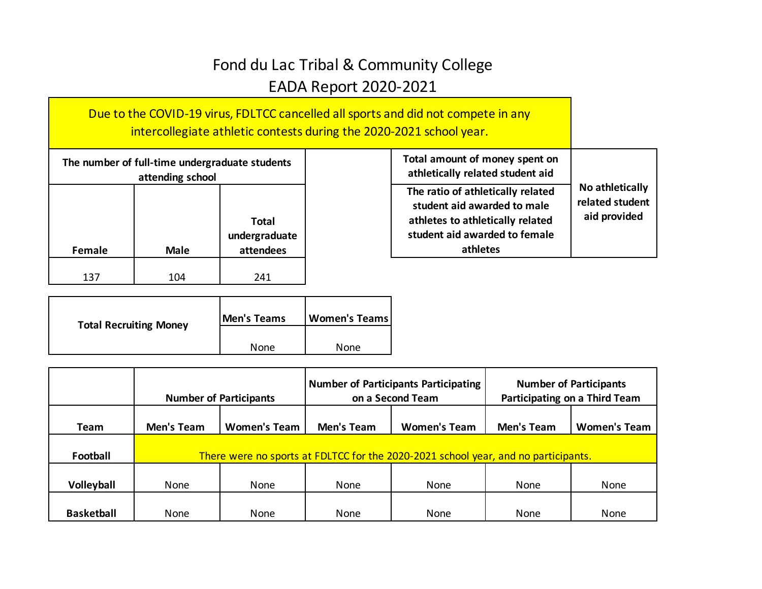## Fond du Lac Tribal & Community College EADA Report 2020-2021

Due to the COVID-19 virus, FDLTCC cancelled all sports and did not compete in any intercollegiate athletic contests during the 2020-2021 school year.

| The number of full-time undergraduate students<br>attending school  |     |     |  |  |
|---------------------------------------------------------------------|-----|-----|--|--|
| Total<br>undergraduate<br>attendees<br><b>Male</b><br><b>Female</b> |     |     |  |  |
| 137                                                                 | 104 | 241 |  |  |

| <b>Total Recruiting Money</b> | Men's Teams | <b>Women's Teams</b> |  |
|-------------------------------|-------------|----------------------|--|
|                               | None        | None                 |  |

| Total amount of money spent on<br>athletically related student aid                                                                                |                                                    |
|---------------------------------------------------------------------------------------------------------------------------------------------------|----------------------------------------------------|
| The ratio of athletically related<br>student aid awarded to male<br>athletes to athletically related<br>student aid awarded to female<br>athletes | No athletically<br>related student<br>aid provided |

|                   | <b>Number of Participants</b> |                     | <b>Number of Participants Participating</b><br>on a Second Team |                                                                                    | <b>Number of Participants</b><br>Participating on a Third Team |                     |
|-------------------|-------------------------------|---------------------|-----------------------------------------------------------------|------------------------------------------------------------------------------------|----------------------------------------------------------------|---------------------|
| Team              | Men's Team                    | <b>Women's Team</b> | Men's Team                                                      | <b>Women's Team</b>                                                                | <b>Men's Team</b>                                              | <b>Women's Team</b> |
| Football          |                               |                     |                                                                 | There were no sports at FDLTCC for the 2020-2021 school year, and no participants. |                                                                |                     |
| Volleyball        | <b>None</b>                   | None                | None                                                            | <b>None</b>                                                                        | None                                                           | None                |
| <b>Basketball</b> | None                          | None                | None                                                            | None                                                                               | None                                                           | None                |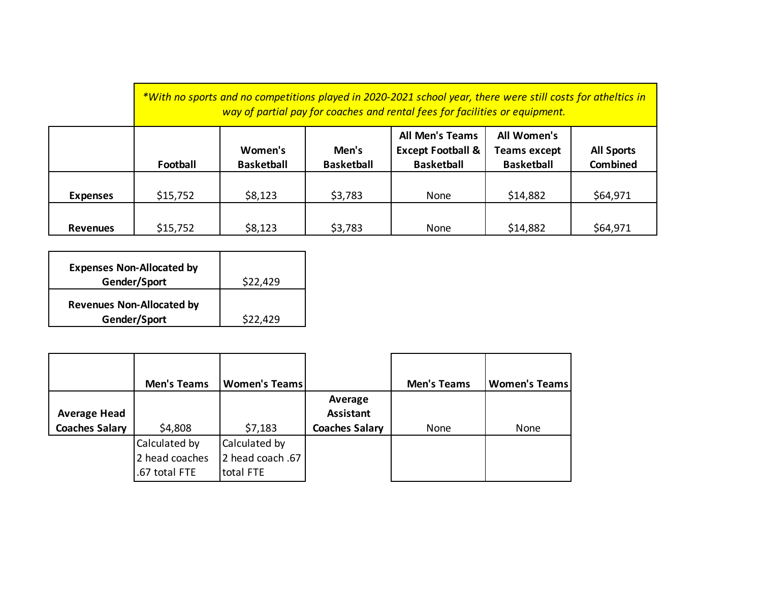*\*With no sports and no competitions played in 2020-2021 school year, there were still costs for atheltics in way of partial pay for coaches and rental fees for facilities or equipment.*

|                 | Football | Women's<br><b>Basketball</b> | Men's<br><b>Basketball</b> | <b>All Men's Teams</b><br><b>Except Football &amp;</b><br><b>Basketball</b> | All Women's<br><b>Teams except</b><br><b>Basketball</b> | <b>All Sports</b><br><b>Combined</b> |
|-----------------|----------|------------------------------|----------------------------|-----------------------------------------------------------------------------|---------------------------------------------------------|--------------------------------------|
| <b>Expenses</b> | \$15,752 | \$8,123                      | \$3,783                    | None                                                                        | \$14,882                                                | \$64,971                             |
| <b>Revenues</b> | \$15,752 | \$8,123                      | \$3,783                    | None                                                                        | \$14,882                                                | \$64,971                             |

| <b>Expenses Non-Allocated by</b><br>Gender/Sport | \$22,429 |
|--------------------------------------------------|----------|
| <b>Revenues Non-Allocated by</b><br>Gender/Sport | \$22,429 |

|                                              | <b>Men's Teams</b>                               | <b>Women's Teams</b>                            |                                                      | <b>Men's Teams</b> | <b>Women's Teams</b> |
|----------------------------------------------|--------------------------------------------------|-------------------------------------------------|------------------------------------------------------|--------------------|----------------------|
| <b>Average Head</b><br><b>Coaches Salary</b> | \$4,808                                          | \$7,183                                         | Average<br><b>Assistant</b><br><b>Coaches Salary</b> | None               | None                 |
|                                              | Calculated by<br>2 head coaches<br>.67 total FTE | Calculated by<br>12 head coach .67<br>total FTE |                                                      |                    |                      |